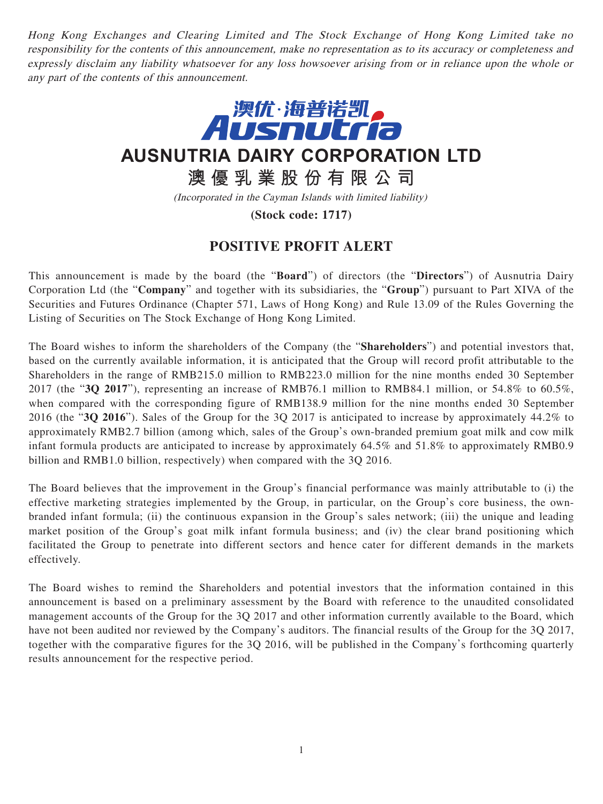Hong Kong Exchanges and Clearing Limited and The Stock Exchange of Hong Kong Limited take no responsibility for the contents of this announcement, make no representation as to its accuracy or completeness and expressly disclaim any liability whatsoever for any loss howsoever arising from or in reliance upon the whole or any part of the contents of this announcement.



**AUSNUTRIA DAIRY CORPORATION LTD**

**澳優乳業股份有限公司**

(Incorporated in the Cayman Islands with limited liability)

**(Stock code: 1717)**

## **POSITIVE PROFIT ALERT**

This announcement is made by the board (the "**Board**") of directors (the "**Directors**") of Ausnutria Dairy Corporation Ltd (the "**Company**" and together with its subsidiaries, the "**Group**") pursuant to Part XIVA of the Securities and Futures Ordinance (Chapter 571, Laws of Hong Kong) and Rule 13.09 of the Rules Governing the Listing of Securities on The Stock Exchange of Hong Kong Limited.

The Board wishes to inform the shareholders of the Company (the "**Shareholders**") and potential investors that, based on the currently available information, it is anticipated that the Group will record profit attributable to the Shareholders in the range of RMB215.0 million to RMB223.0 million for the nine months ended 30 September 2017 (the "**3Q 2017**"), representing an increase of RMB76.1 million to RMB84.1 million, or 54.8% to 60.5%, when compared with the corresponding figure of RMB138.9 million for the nine months ended 30 September 2016 (the "**3Q 2016**"). Sales of the Group for the 3Q 2017 is anticipated to increase by approximately 44.2% to approximately RMB2.7 billion (among which, sales of the Group's own-branded premium goat milk and cow milk infant formula products are anticipated to increase by approximately 64.5% and 51.8% to approximately RMB0.9 billion and RMB1.0 billion, respectively) when compared with the 3Q 2016.

The Board believes that the improvement in the Group's financial performance was mainly attributable to (i) the effective marketing strategies implemented by the Group, in particular, on the Group's core business, the ownbranded infant formula; (ii) the continuous expansion in the Group's sales network; (iii) the unique and leading market position of the Group's goat milk infant formula business; and (iv) the clear brand positioning which facilitated the Group to penetrate into different sectors and hence cater for different demands in the markets effectively.

The Board wishes to remind the Shareholders and potential investors that the information contained in this announcement is based on a preliminary assessment by the Board with reference to the unaudited consolidated management accounts of the Group for the 3Q 2017 and other information currently available to the Board, which have not been audited nor reviewed by the Company's auditors. The financial results of the Group for the 3Q 2017, together with the comparative figures for the 3Q 2016, will be published in the Company's forthcoming quarterly results announcement for the respective period.